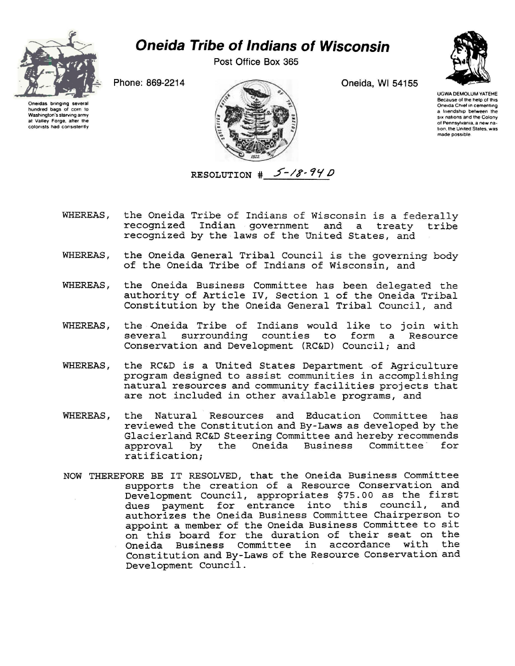

## *Oneida Tribe of Indians of Wisconsin*

Post Office Box 365

Oneida, Wl 54155



UGWA DEMOLUM YATEHE Because of the help of this Oneida Chief in cementing a friendship between the six nations and the Colony of Pennsylvania, a new nation. the United States, was made possible

Phone: 869-2214

Oneidas bringing several hundred bags ot corn to Washington's starving army at Valley Forge, after the colonists had consistently



- WHEREAS, the Oneida Tribe of Indians of Wisconsin is a federally recognized Indian government and a treaty tribe recognized by the laws of the United States, and
- WHEREAS, the Oneida General Tribal Council is the governing body of the Oneida Tribe of Indians of Wisconsin, and
- WHEREAS, the Oneida Business Committee has been delegated the authority of Article IV, Section 1 of the Oneida Tribal Constitution by the Oneida General Tribal Council, and
- WHEREAS, the Oneida Tribe of Indians would like to join with surrounding counties to form a Resource Conservation and Development (RC&D) Council; and
- WHEREAS, the RC&D is a United States Department of Agriculture program designed to assist communities in accomplishing natural resources and community facilities projects that are not included in other available programs, and
- WHEREAS, the Natural Resources and Education Committee has reviewed the Constitution and By-Laws as developed by the Glacierland RC&D Steering Committee and hereby recommends<br>approval by the Oneida Business Committee for approval by the Oneida Business ratification;
- NOW THEREFORE BE IT RESOLVED, that the Oneida Business Committee supports the creation of a Resource Conservation and Development Council, appropriates \$75.00 as the first dues payment for entrance into this council, authorizes the Oneida Business Committee Chairperson to appoint a member of the Oneida Business Committee to sit on this board for the duration of their seat on the Oneida Business Committee in accordance with the Constitution and By-Laws of the Resource Conservation and Development Council.